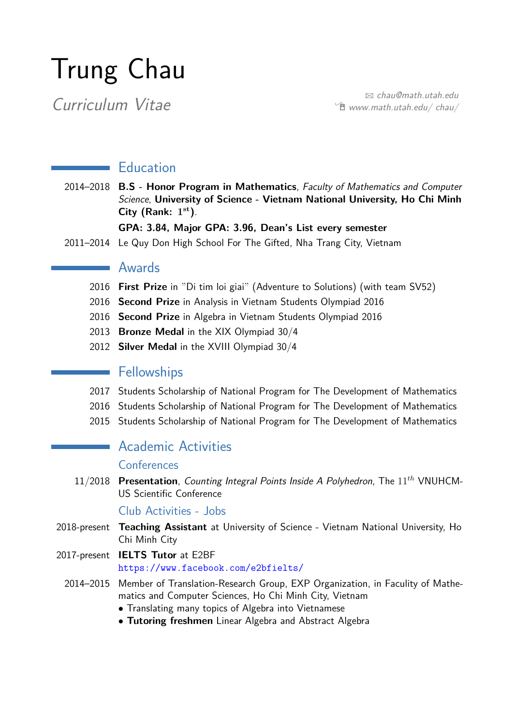# Trung Chau

Examinath.utah.edu  $\hat{\mathbb{E}}$  www.math.utah.edu/chau/

### **Education**

2014–2018 **B.S - Honor Program in Mathematics**, Faculty of Mathematics and Computer Science, **University of Science - Vietnam National University, Ho Chi Minh City (Rank: 1 st)**.

#### **GPA: 3.84, Major GPA: 3.96, Dean's List every semester**

2011–2014 Le Quy Don High School For The Gifted, Nha Trang City, Vietnam

#### Awards

- 2016 **First Prize** in "Di tim loi giai" (Adventure to Solutions) (with team SV52)
- 2016 **Second Prize** in Analysis in Vietnam Students Olympiad 2016
- 2016 **Second Prize** in Algebra in Vietnam Students Olympiad 2016
- 2013 **Bronze Medal** in the XIX Olympiad 30/4
- 2012 **Silver Medal** in the XVIII Olympiad 30/4

#### **Fellowships**

- 2017 Students Scholarship of National Program for The Development of Mathematics
- 2016 Students Scholarship of National Program for The Development of Mathematics
- 2015 Students Scholarship of National Program for The Development of Mathematics

# Academic Activities

#### Conferences

11/2018 **Presentation**, Counting Integral Points Inside A Polyhedron, The 11*th* VNUHCM-US Scientific Conference

Club Activities - Jobs

- 2018-present **Teaching Assistant** at University of Science Vietnam National University, Ho Chi Minh City
- 2017-present **IELTS Tutor** at E2BF <https://www.facebook.com/e2bfielts/>
	- 2014–2015 Member of Translation-Research Group, EXP Organization, in Faculity of Mathematics and Computer Sciences, Ho Chi Minh City, Vietnam
		- Translating many topics of Algebra into Vietnamese
		- **Tutoring freshmen** Linear Algebra and Abstract Algebra